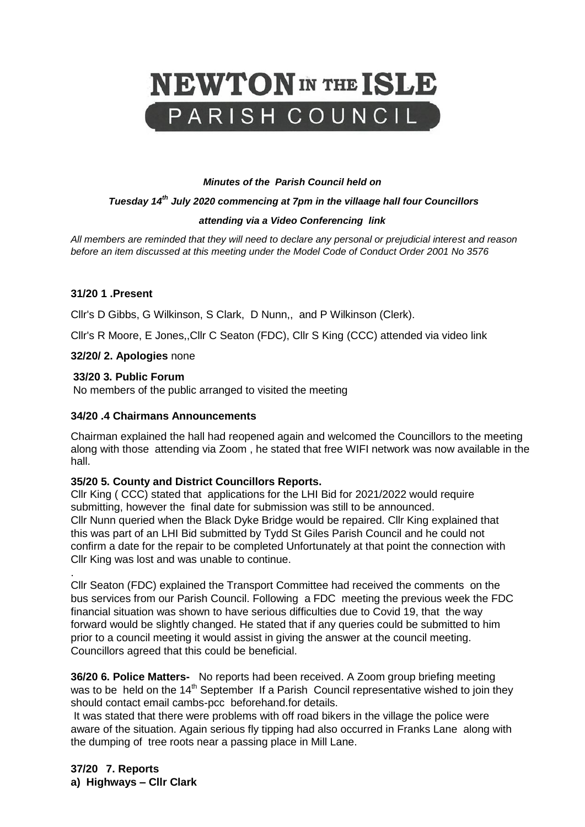

#### *Minutes of the Parish Council held on*

#### *Tuesday 14th July 2020 commencing at 7pm in the villaage hall four Councillors*

#### *attending via a Video Conferencing link*

*All members are reminded that they will need to declare any personal or prejudicial interest and reason before an item discussed at this meeting under the Model Code of Conduct Order 2001 No 3576*

#### **31/20 1 .Present**

Cllr's D Gibbs, G Wilkinson, S Clark, D Nunn,, and P Wilkinson (Clerk).

Cllr's R Moore, E Jones,,Cllr C Seaton (FDC), Cllr S King (CCC) attended via video link

**32/20/ 2. Apologies** none

#### **33/20 3. Public Forum**

.

No members of the public arranged to visited the meeting

### **34/20 .4 Chairmans Announcements**

Chairman explained the hall had reopened again and welcomed the Councillors to the meeting along with those attending via Zoom , he stated that free WIFI network was now available in the hall.

### **35/20 5. County and District Councillors Reports.**

Cllr King ( CCC) stated that applications for the LHI Bid for 2021/2022 would require submitting, however the final date for submission was still to be announced. Cllr Nunn queried when the Black Dyke Bridge would be repaired. Cllr King explained that this was part of an LHI Bid submitted by Tydd St Giles Parish Council and he could not confirm a date for the repair to be completed Unfortunately at that point the connection with Cllr King was lost and was unable to continue.

Cllr Seaton (FDC) explained the Transport Committee had received the comments on the bus services from our Parish Council. Following a FDC meeting the previous week the FDC financial situation was shown to have serious difficulties due to Covid 19, that the way forward would be slightly changed. He stated that if any queries could be submitted to him prior to a council meeting it would assist in giving the answer at the council meeting. Councillors agreed that this could be beneficial.

**36/20 6. Police Matters-** No reports had been received. A Zoom group briefing meeting was to be held on the 14<sup>th</sup> September If a Parish Council representative wished to join they should contact email cambs-pcc beforehand.for details.

It was stated that there were problems with off road bikers in the village the police were aware of the situation. Again serious fly tipping had also occurred in Franks Lane along with the dumping of tree roots near a passing place in Mill Lane.

**37/20 7. Reports a) Highways – Cllr Clark**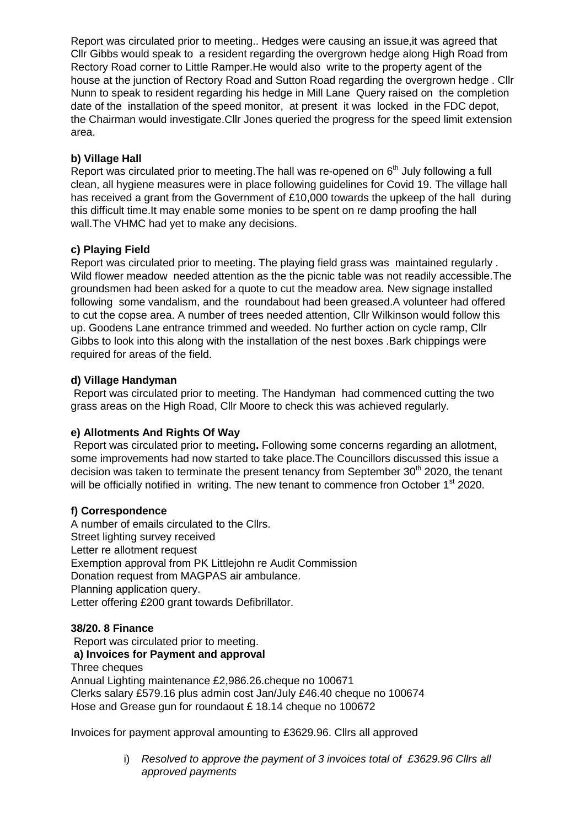Report was circulated prior to meeting.. Hedges were causing an issue,it was agreed that Cllr Gibbs would speak to a resident regarding the overgrown hedge along High Road from Rectory Road corner to Little Ramper.He would also write to the property agent of the house at the junction of Rectory Road and Sutton Road regarding the overgrown hedge . Cllr Nunn to speak to resident regarding his hedge in Mill Lane Query raised on the completion date of the installation of the speed monitor, at present it was locked in the FDC depot, the Chairman would investigate.Cllr Jones queried the progress for the speed limit extension area.

# **b) Village Hall**

Report was circulated prior to meeting. The hall was re-opened on  $6<sup>th</sup>$  July following a full clean, all hygiene measures were in place following guidelines for Covid 19. The village hall has received a grant from the Government of £10,000 towards the upkeep of the hall during this difficult time.It may enable some monies to be spent on re damp proofing the hall wall.The VHMC had yet to make any decisions.

## **c) Playing Field**

Report was circulated prior to meeting. The playing field grass was maintained regularly . Wild flower meadow needed attention as the the picnic table was not readily accessible.The groundsmen had been asked for a quote to cut the meadow area. New signage installed following some vandalism, and the roundabout had been greased.A volunteer had offered to cut the copse area. A number of trees needed attention, Cllr Wilkinson would follow this up. Goodens Lane entrance trimmed and weeded. No further action on cycle ramp, Cllr Gibbs to look into this along with the installation of the nest boxes .Bark chippings were required for areas of the field.

# **d) Village Handyman**

Report was circulated prior to meeting. The Handyman had commenced cutting the two grass areas on the High Road, Cllr Moore to check this was achieved regularly.

# **e) Allotments And Rights Of Way**

Report was circulated prior to meeting**.** Following some concerns regarding an allotment, some improvements had now started to take place.The Councillors discussed this issue a decision was taken to terminate the present tenancy from September  $30<sup>th</sup>$  2020, the tenant will be officially notified in writing. The new tenant to commence fron October 1<sup>st</sup> 2020.

## **f) Correspondence**

A number of emails circulated to the Cllrs. Street lighting survey received Letter re allotment request Exemption approval from PK Littlejohn re Audit Commission Donation request from MAGPAS air ambulance. Planning application query. Letter offering £200 grant towards Defibrillator.

## **38/20. 8 Finance**

Report was circulated prior to meeting.

## **a) Invoices for Payment and approval**

Three cheques

Annual Lighting maintenance £2,986.26.cheque no 100671 Clerks salary £579.16 plus admin cost Jan/July £46.40 cheque no 100674 Hose and Grease gun for roundaout £ 18.14 cheque no 100672

Invoices for payment approval amounting to £3629.96. Cllrs all approved

i) *Resolved to approve the payment of 3 invoices total of £3629.96 Cllrs all approved payments*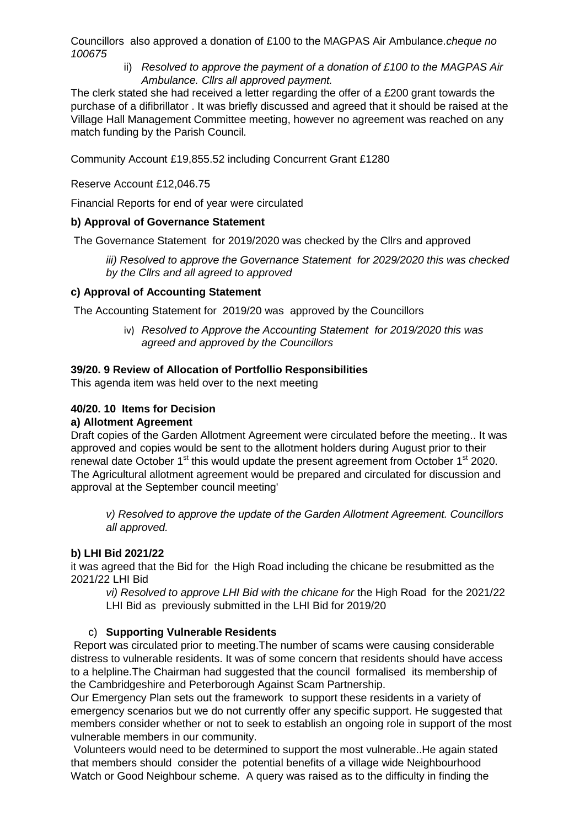Councillors also approved a donation of £100 to the MAGPAS Air Ambulance.*cheque no 100675*

ii) *Resolved to approve the payment of a donation of £100 to the MAGPAS Air Ambulance. Cllrs all approved payment.*

The clerk stated she had received a letter regarding the offer of a £200 grant towards the purchase of a difibrillator . It was briefly discussed and agreed that it should be raised at the Village Hall Management Committee meeting, however no agreement was reached on any match funding by the Parish Council*.*

Community Account £19,855.52 including Concurrent Grant £1280

Reserve Account £12,046.75

Financial Reports for end of year were circulated

### **b) Approval of Governance Statement**

The Governance Statement for 2019/2020 was checked by the Cllrs and approved

*iii) Resolved to approve the Governance Statement for 2029/2020 this was checked by the Cllrs and all agreed to approved* 

### **c) Approval of Accounting Statement**

The Accounting Statement for 2019/20 was approved by the Councillors

iv) *Resolved to Approve the Accounting Statement for 2019/2020 this was agreed and approved by the Councillors*

### **39/20. 9 Review of Allocation of Portfollio Responsibilities**

This agenda item was held over to the next meeting

#### **40/20. 10 Items for Decision**

#### **a) Allotment Agreement**

Draft copies of the Garden Allotment Agreement were circulated before the meeting.. It was approved and copies would be sent to the allotment holders during August prior to their renewal date October 1<sup>st</sup> this would update the present agreement from October 1<sup>st</sup> 2020. The Agricultural allotment agreement would be prepared and circulated for discussion and approval at the September council meeting'

*v) Resolved to approve the update of the Garden Allotment Agreement. Councillors all approved.*

### **b) LHI Bid 2021/22**

it was agreed that the Bid for the High Road including the chicane be resubmitted as the 2021/22 LHI Bid

*vi) Resolved to approve LHI Bid with the chicane for* the High Road for the 2021/22 LHI Bid as previously submitted in the LHI Bid for 2019/20

### c) **Supporting Vulnerable Residents**

Report was circulated prior to meeting.The number of scams were causing considerable distress to vulnerable residents. It was of some concern that residents should have access to a helpline.The Chairman had suggested that the council formalised its membership of the Cambridgeshire and Peterborough Against Scam Partnership.

Our Emergency Plan sets out the framework to support these residents in a variety of emergency scenarios but we do not currently offer any specific support. He suggested that members consider whether or not to seek to establish an ongoing role in support of the most vulnerable members in our community.

Volunteers would need to be determined to support the most vulnerable..He again stated that members should consider the potential benefits of a village wide Neighbourhood Watch or Good Neighbour scheme. A query was raised as to the difficulty in finding the